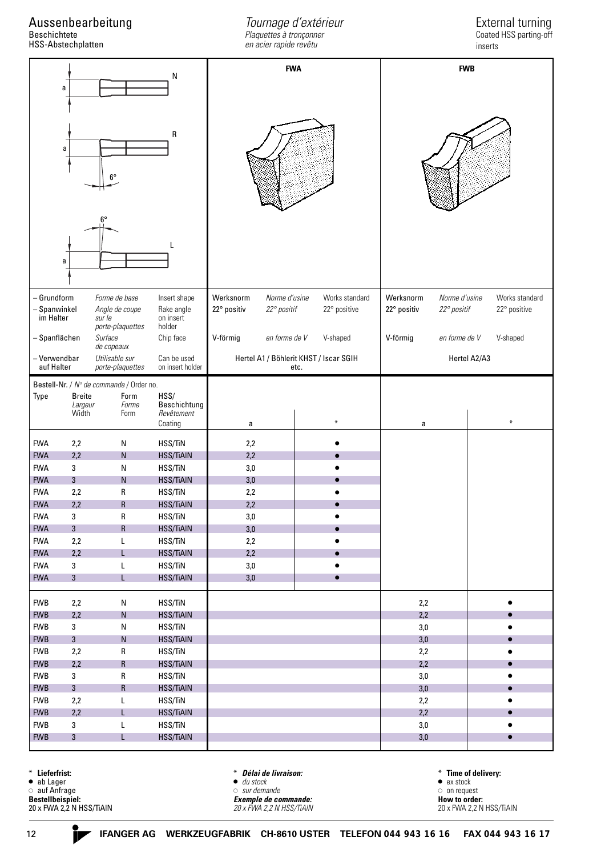Aussenbearbeitung

Beschichtete HSS-Abstechplatten

*Tournage d'extérieur Plaquettes à tronçonner en acier rapide revêtu*

## External turning Coated HSS parting-off

inserts

| N                                                                                                   |                           |                            | <b>FWA</b>                                     |                            |               |              | <b>FWB</b>                |                            |  |                |                        |
|-----------------------------------------------------------------------------------------------------|---------------------------|----------------------------|------------------------------------------------|----------------------------|---------------|--------------|---------------------------|----------------------------|--|----------------|------------------------|
| a                                                                                                   |                           |                            |                                                |                            |               |              |                           |                            |  |                |                        |
|                                                                                                     |                           |                            |                                                |                            |               |              |                           |                            |  |                |                        |
|                                                                                                     |                           |                            |                                                |                            |               |              |                           |                            |  |                |                        |
|                                                                                                     |                           |                            | R                                              |                            |               |              |                           |                            |  |                |                        |
| a                                                                                                   |                           |                            |                                                |                            |               |              |                           |                            |  |                |                        |
|                                                                                                     |                           |                            |                                                |                            |               |              |                           |                            |  |                |                        |
| $6^{\circ}$                                                                                         |                           |                            |                                                |                            |               |              |                           |                            |  |                |                        |
|                                                                                                     |                           |                            |                                                |                            |               |              |                           |                            |  |                |                        |
|                                                                                                     |                           |                            |                                                |                            |               |              |                           |                            |  |                |                        |
|                                                                                                     |                           |                            |                                                |                            |               |              |                           |                            |  |                |                        |
|                                                                                                     |                           |                            |                                                |                            |               |              |                           |                            |  |                |                        |
|                                                                                                     |                           |                            |                                                |                            |               |              |                           |                            |  |                |                        |
| a                                                                                                   |                           |                            |                                                |                            |               |              |                           |                            |  |                |                        |
|                                                                                                     |                           |                            |                                                |                            |               |              |                           |                            |  |                |                        |
|                                                                                                     |                           |                            |                                                |                            |               |              |                           |                            |  |                |                        |
| - Grundform                                                                                         |                           | Forme de base              | Insert shape                                   | Werksnorm                  | Norme d'usine |              | Works standard            | Norme d'usine<br>Werksnorm |  | Works standard |                        |
| - Spanwinkel<br>im Halter                                                                           |                           | Angle de coupe             | Rake angle                                     | 22° positiv<br>22° positif |               | 22° positive |                           | 22° positiv<br>22° positif |  | 22° positive   |                        |
|                                                                                                     |                           | sur le<br>porte-plaquettes | on insert<br>holder                            |                            |               |              |                           |                            |  |                |                        |
| - Spanflächen<br>Surface                                                                            |                           | Chip face                  | en forme de V<br>V-shaped<br>V-förmig          |                            |               | V-förmig     | en forme de V<br>V-shaped |                            |  |                |                        |
| de copeaux                                                                                          |                           |                            |                                                |                            |               |              |                           |                            |  |                |                        |
| - Verwendbar<br>Utilisable sur<br>Can be used<br>auf Halter<br>on insert holder<br>porte-plaquettes |                           |                            | Hertel A1 / Böhlerit KHST / Iscar SGIH<br>etc. |                            |               |              | Hertel A2/A3              |                            |  |                |                        |
| Bestell-Nr. / Nº de commande / Order no.                                                            |                           |                            |                                                |                            |               |              |                           |                            |  |                |                        |
| Type                                                                                                | <b>Breite</b>             | Form                       | HSS/                                           |                            |               |              |                           |                            |  |                |                        |
|                                                                                                     | Largeur<br>Width          | Forme<br>Form              | Beschichtung<br>Revêtement                     |                            |               |              |                           |                            |  |                |                        |
|                                                                                                     |                           |                            | Coating                                        | a                          |               |              | $\ast$                    | a                          |  |                | $\ast$                 |
| <b>FWA</b>                                                                                          | 2,2                       | N                          | HSS/TiN                                        | 2,2                        |               |              |                           |                            |  |                |                        |
| <b>FWA</b>                                                                                          | 2,2                       | ${\sf N}$                  | <b>HSS/TiAIN</b>                               | 2,2                        |               |              |                           |                            |  |                |                        |
| <b>FWA</b>                                                                                          | 3                         | ${\sf N}$                  | HSS/TiN                                        | $3,0$                      |               |              |                           |                            |  |                |                        |
| <b>FWA</b>                                                                                          | 3                         | ${\sf N}$                  | <b>HSS/TiAIN</b>                               | 3,0                        |               |              |                           |                            |  |                |                        |
| <b>FWA</b>                                                                                          | 2,2                       | $\mathsf R$                | HSS/TiN                                        | 2,2                        |               |              |                           |                            |  |                |                        |
| <b>FWA</b>                                                                                          | 2,2                       | $\mathsf R$                | <b>HSS/TiAIN</b>                               | 2,2                        |               |              |                           |                            |  |                |                        |
| <b>FWA</b>                                                                                          | $\ensuremath{\mathsf{3}}$ | ${\sf R}$                  | HSS/TiN                                        | $3,\!0$                    |               |              |                           |                            |  |                |                        |
| <b>FWA</b>                                                                                          | $\overline{3}$            | ${\sf R}$                  | <b>HSS/TiAIN</b>                               | 3,0                        |               |              |                           |                            |  |                |                        |
| <b>FWA</b>                                                                                          | 2,2                       | L                          | HSS/TiN                                        | $2,2$                      |               |              |                           |                            |  |                |                        |
| <b>FWA</b><br><b>FWA</b>                                                                            | 2,2                       | L                          | <b>HSS/TiAIN</b>                               | 2,2                        |               |              |                           |                            |  |                |                        |
| <b>FWA</b>                                                                                          | 3<br>$\overline{3}$       | L<br>L                     | HSS/TiN<br><b>HSS/TiAIN</b>                    | $3,0$<br>3,0               |               |              | $\bullet$<br>$\bullet$    |                            |  |                |                        |
|                                                                                                     |                           |                            |                                                |                            |               |              |                           |                            |  |                |                        |
| <b>FWB</b>                                                                                          | 2,2                       | ${\sf N}$                  | HSS/TiN                                        |                            |               |              |                           | $2,2$                      |  |                | $\bullet$              |
| <b>FWB</b>                                                                                          | 2,2                       | ${\sf N}$                  | <b>HSS/TiAIN</b>                               |                            |               |              |                           | 2,2                        |  |                | $\bullet$              |
| <b>FWB</b>                                                                                          | 3                         | ${\sf N}$                  | HSS/TiN                                        |                            |               |              |                           | $3,0$                      |  |                | $\bullet$              |
| <b>FWB</b>                                                                                          | 3                         | ${\sf N}$                  | <b>HSS/TiAIN</b>                               |                            |               |              |                           | 3,0                        |  |                | $\bullet$              |
| <b>FWB</b>                                                                                          | 2,2                       | R                          | HSS/TiN                                        |                            |               |              |                           | 2,2                        |  |                | $\bullet$              |
| <b>FWB</b>                                                                                          | 2,2                       | $\mathsf R$                | <b>HSS/TiAIN</b>                               |                            |               |              |                           | 2,2                        |  |                | $\bullet$              |
| <b>FWB</b>                                                                                          | 3                         | R                          | HSS/TiN                                        |                            |               |              |                           | $3,0$                      |  |                | $\bullet$              |
| <b>FWB</b>                                                                                          | 3                         | ${\sf R}$                  | <b>HSS/TiAIN</b>                               |                            |               |              |                           | $3,0$                      |  |                | $\bullet$              |
| <b>FWB</b>                                                                                          | 2,2                       | L                          | HSS/TiN                                        |                            |               |              |                           | 2,2                        |  |                | $\bullet$              |
| <b>FWB</b><br><b>FWB</b>                                                                            | 2,2<br>3                  | L<br>L                     | <b>HSS/TiAIN</b><br>HSS/TiN                    |                            |               |              |                           | 2,2<br>$3,0$               |  |                | $\bullet$<br>$\bullet$ |
| <b>FWB</b>                                                                                          | $\mathbf{3}$              | L                          | <b>HSS/TiAIN</b>                               |                            |               |              |                           | $3,0$                      |  |                | $\bullet$              |
|                                                                                                     |                           |                            |                                                |                            |               |              |                           |                            |  |                |                        |

\* **Lieferfrist:**

• ab Lager

auf Anfrage

**Bestellbeispiel:** 20 x FWA 2,2 N HSS/TiAlN \* *Délai de livraison:*  $\bullet$  *du stock sur demande*

*Exemple de commande: 20 x FWA 2,2 N HSS/TiAlN* \* **Time of delivery:** • ex stock  $\circ$  on request **How to order:** 20 x FWA 2,2 N HSS/TiAlN